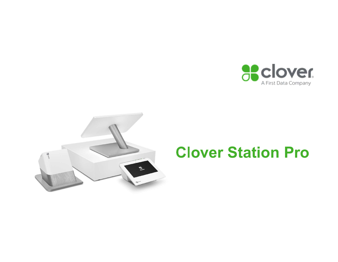



# Clover Station Pro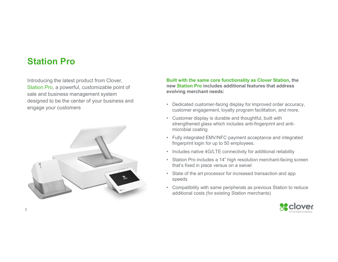### Station Pro

Introducing the latest product from Clover, Station Pro, a powerful, customizable point of sale and business management system designed to be the center of your business and<br>
• Dedicated customer-facing display for improved order accuracy, engage your customers



### Built with the same core functionality as Clover Station, the new Station Pro includes additional features that address evolving merchant needs:

- customer engagement, loyalty program facilitation, and more.
- First 1990 Built with the same core functionality as Clover Station, the mew Station Pro includes additional features that address<br>evolving merchant needs:<br>• Dedicated customer-facing display for improved order accuracy,<br>c **Built with the same core functionality as Clover Station, the**<br> **heave Station Pro** includes additional features that address<br> **evolving merchant needs:**<br>
• Dedicated customer-facing display for improved order accuracy,<br> strengthened glass which includes anti-fingerprint and antimicrobial coating **Built with the same core functionality as Clover Station, the evolving merchant needs:**<br>
• Dedicated customer-facing display for improved order accuracy, customer engagement, loyalty program facilitation, and more.<br>
• Cus **Built with the same core functionality as Clover Station, the new Station Pro includes additional features that address<br>evolving merchant needs:<br>• Dedicated customer-facing display for improved order accuracy,<br>customer en Built with the same core functionality as Clover Station, the new Station Pro includes additional features that address evolving merchant needs:<br>
• Dedicated customer-facing display for improved order accuracy, customer e Built with the same core functionality as Clover Station, the new Station Pro includes additional features that address<br>evolving merchant needs:<br>
• Dedicated customer-facing display for improved order accuracy,<br>
customer Built with the same core functionality as Clover Station, the**<br> **enew Station Pro includes additional features that address**<br> **•** Dedicated customer-facing display for improved order accuracy,<br> **•** Customer engagement, l
- fingerprint login for up to 50 employees.
- 
- that's fixed in place versus on a swivel
- speeds
- additional costs (for existing Station merchants)

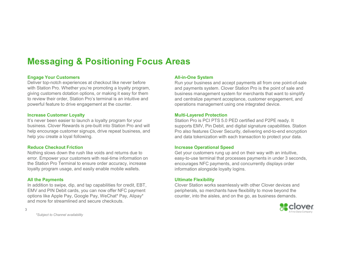### Messaging & Positioning Focus Areas

#### Engage Your Customers

Deliver top-notch experiences at checkout like never before with Station Pro. Whether you're promoting a loyalty program, giving customers dotation options, or making it easy for them to review their order, Station Pro's terminal is an intuitive and powerful feature to drive engagement at the counter.

#### Increase Customer Loyalty

It's never been easier to launch a loyalty program for your business. Clover Rewards is pre-built into Station Pro and will help encourage customer signups, drive repeat business, and help you create a loyal following.

#### Reduce Checkout Friction

Nothing slows down the rush like voids and returns due to error. Empower your customers with real-time information on the Station Pro Terminal to ensure order accuracy, increase loyalty program usage, and easily enable mobile wallets.

#### All the Payments

In addition to swipe, dip, and tap capabilities for credit, EBT, EMV and PIN Debit cards, you can now offer NFC payment options like Apple Pay, Google Pay, WeChat\* Pay, Alipay\* and more for streamlined and secure checkouts.

3

#### All-in-One System

Run your business and accept payments all from one point-of-sale and payments system. Clover Station Pro is the point of sale and business management system for merchants that want to simplify and centralize payment acceptance, customer engagement, and operations management using one integrated device.

#### Multi-Layered Protection

Station Pro is PCI PTS 5.0 PED certified and P2PE ready. It supports EMV, Pin Debit, and digital signature capabilities. Station Pro also features Clover Security, delivering end-to-end encryption and data tokenization with each transaction to protect your data.

#### Increase Operational Speed

Get your customers rung up and on their way with an intuitive, easy-to-use terminal that processes payments in under 3 seconds, encourages NFC payments, and concurrently displays order information alongside loyalty logins.

#### Ultimate Flexibility

Clover Station works seamlessly with other Clover devices and peripherals, so merchants have flexibility to move beyond the counter, into the aisles, and on the go, as business demands.



\*Subject to Channel availability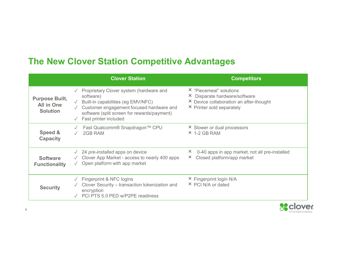### The New Clover Station Competitive Advantages

|                                                        |                         | <b>The New Clover Station Competitive Advantages</b>                                                                                                                                                           |                                                                                                                                  |
|--------------------------------------------------------|-------------------------|----------------------------------------------------------------------------------------------------------------------------------------------------------------------------------------------------------------|----------------------------------------------------------------------------------------------------------------------------------|
|                                                        |                         |                                                                                                                                                                                                                |                                                                                                                                  |
|                                                        |                         | <b>Clover Station</b>                                                                                                                                                                                          | <b>Competitors</b>                                                                                                               |
| <b>Purpose Built,</b><br>All in One<br><b>Solution</b> | $\sqrt{}$<br>$\sqrt{2}$ | Proprietary Clover system (hardware and<br>software)<br>Built-in capabilities (eg EMV/NFC)<br>Customer engagement focused hardware and<br>software (split screen for rewards/payment)<br>Fast printer included | × "Piecemeal" solutions<br>× Disparate hardware/software<br>× Device collaboration an after-thought<br>× Printer sold separately |
| Speed &<br><b>Capacity</b>                             | $\sqrt{}$               | Fast Qualcomm® Snapdragon™ CPU<br>2GB RAM                                                                                                                                                                      | × Slower or dual processors<br>$\times$ 1-2 GB RAM                                                                               |
| <b>Software</b><br><b>Functionality</b>                |                         | $\sqrt{24}$ pre-installed apps on device<br>$\sqrt{ }$ Clover App Market - access to nearly 400 apps<br>$\sqrt{\phantom{a}}$ Open platform with app market                                                     | 0-40 apps in app market, not all pre-installed<br>X.<br>× Closed platform/app market                                             |
| <b>Security</b>                                        |                         | √ Fingerprint & NFC logins<br>Clover Security - transaction tokenization and<br>encryption<br>√ PCI PTS 5.0 PED w/P2PE readiness                                                                               | × Fingerprint login N/A<br>× PCI N/A or dated                                                                                    |

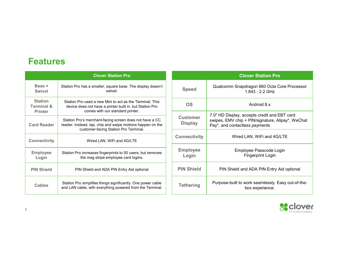### Features

| <b>Features</b>                                           |                                                                                                                                                                |                                   |                                                                                 |
|-----------------------------------------------------------|----------------------------------------------------------------------------------------------------------------------------------------------------------------|-----------------------------------|---------------------------------------------------------------------------------|
|                                                           | <b>Clover Station Pro</b>                                                                                                                                      |                                   | <b>Clover:</b>                                                                  |
| Base +<br><b>Swivel</b>                                   | Station Pro has a smaller, square base. The display doesn't<br>swivel                                                                                          | <b>Speed</b>                      | Qualcomm Snapdrago<br>1.843                                                     |
| <b>Station</b><br><b>Terminal &amp;</b><br><b>Printer</b> | Station Pro used a new Mini to act as the Terminal. This<br>device does not have a printer built in, but Station Pro<br>comes with our standard printer.       | <b>OS</b>                         | Anc                                                                             |
| <b>Card Reader</b>                                        | Station Pro's merchant-facing screen does not have a CC<br>reader. Instead, tap, chip and swipe motions happen on the<br>customer-facing Station Pro Terminal. | <b>Customer</b><br><b>Display</b> | 7.0" HD Display, accepts<br>swipes, EMV chip + PIN/<br>Pay*, and contactless pa |
| <b>Connectivity</b>                                       | Wired LAN, WiFi and 4G/LTE                                                                                                                                     | <b>Connectivity</b>               | Wired LAN, \                                                                    |
| <b>Employee</b><br>Login                                  | Station Pro increases fingerprints to 50 users, but removes<br>the mag stripe employee card logins.                                                            | <b>Employee</b><br>Login          | Employee I<br>Finger                                                            |
| <b>PIN Shield</b>                                         | PIN Shield and ADA PIN Entry Aid optional                                                                                                                      | <b>PIN Shield</b>                 | PIN Shield and AD/                                                              |
| <b>Cables</b>                                             | Station Pro simplifies things significantly. One power cable<br>and LAN cable, with everything powered from the Terminal.                                      | <b>Tethering</b>                  | Purpose-built to work s<br>box e:                                               |

| <b>Clover Station Pro</b>                                                                                                                                      |                                   | <b>Clover Station Pro</b>                                                                                                           |
|----------------------------------------------------------------------------------------------------------------------------------------------------------------|-----------------------------------|-------------------------------------------------------------------------------------------------------------------------------------|
| Station Pro has a smaller, square base. The display doesn't<br>swivel.                                                                                         | <b>Speed</b>                      | Qualcomm Snapdragon 660 Octa Core Processor<br>1.843 - 2.2 GHz                                                                      |
| Station Pro used a new Mini to act as the Terminal. This<br>device does not have a printer built in, but Station Pro<br>comes with our standard printer.       | <b>OS</b>                         | Android 8.x                                                                                                                         |
| Station Pro's merchant-facing screen does not have a CC<br>reader. Instead, tap, chip and swipe motions happen on the<br>customer-facing Station Pro Terminal. | <b>Customer</b><br><b>Display</b> | 7.0" HD Display, accepts credit and EBT card<br>swipes, EMV chip + PIN/signature, Alipay*, WeChat<br>Pay*, and contactless payments |
| Wired LAN, WiFi and 4G/LTE                                                                                                                                     | <b>Connectivity</b>               | Wired LAN, WiFi and 4G/LTE                                                                                                          |
| Station Pro increases fingerprints to 50 users, but removes<br>the mag stripe employee card logins.                                                            | <b>Employee</b><br>Login          | Employee Passcode Login<br><b>Fingerprint Login</b>                                                                                 |
| PIN Shield and ADA PIN Entry Aid optional                                                                                                                      | <b>PIN Shield</b>                 | PIN Shield and ADA PIN Entry Aid optional                                                                                           |
| Station Pro simplifies things significantly. One power cable<br>and LAN cable, with everything powered from the Terminal.                                      | <b>Tethering</b>                  | Purpose-built to work seamlessly. Easy out-of-the-<br>box experience.                                                               |

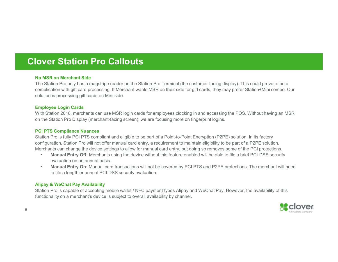### Clover Station Pro Callouts

#### No MSR on Merchant Side

**IOVET Station Pro Callouts**<br>
No MSR on Merchant Side<br>The Station Pro only has a magstripe reader on the Station Pro Terminal (the customer-facing display). This could prove to be a<br>complication Pro only has a magstripe re **complication Pro Callouts**<br>**Complication**<br>The Station Pro only has a magstripe reader on the Station Pro Terminal (the customer-facing display). This could prove to be a<br>complication with gift card processing. If Merchant solution is processing gift cards on Mini side. **No MSR on Merchant Side**<br>The Station Pro Calloutts<br>No MSR on Merchant Side<br>complication win gift card processing. If Merchant wants MSR on their side for gift cards, they may prefer Station-Mini combo. Our<br>complication wi No MSR on Merchant Side<br>The Station Pro only has a magstripe reader on the Station Pro Terminal (the<br>complication with gift card processing. If Merchant wants MSR on their side fo<br>solution is processing gift cards on Mini Note that the customer-facing display). This could prove to be a<br>
Station Pro only his card processing if fleericant wants MSR on their side for gift cards, they may prefer Station-Mini combo. Our<br>
complication with gift c

#### Employee Login Cards

With Station 2018, merchants can use MSR login cards for employees clocking in and accessing the POS. Without having an MSR on the Station Pro Display (merchant-facing screen), we are focusing more on fingerprint logins.

#### PCI PTS Compliance Nuances

Station Pro is fully PCI PTS compliant and eligible to be part of a Point-to-Point Encryption (P2PE) solution. In its factory configuration, Station Pro will not offer manual card entry, a requirement to maintain eligibility to be part of a P2PE solution.

- evaluation on an annual basis.<br>• Manual Entry On: Manual card transactions will not be covered by PCI PTS and P2PE protections. The merchant will need
- to file a lengthier annual PCI-DSS security evaluation.

functionality on a merchant's device is subject to overall availability by channel.

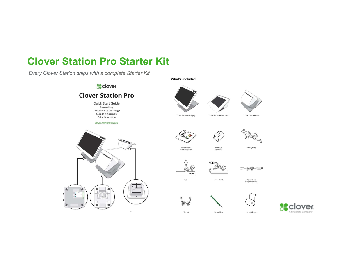## Clover Station Pro Starter Kit

Every Clover Station ships with a complete Starter Kit











Clover Station Pro Terminal





Display Cable









Power Cord<br>(Region Specific)